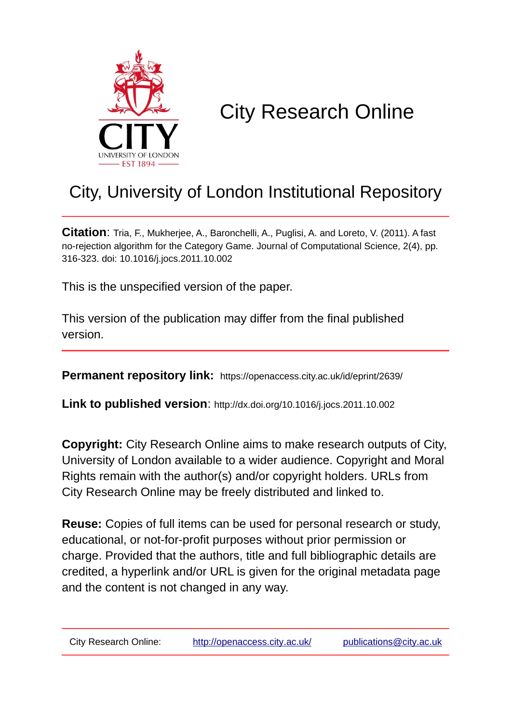

# City Research Online

## City, University of London Institutional Repository

**Citation**: Tria, F., Mukherjee, A., Baronchelli, A., Puglisi, A. and Loreto, V. (2011). A fast no-rejection algorithm for the Category Game. Journal of Computational Science, 2(4), pp. 316-323. doi: 10.1016/j.jocs.2011.10.002

This is the unspecified version of the paper.

This version of the publication may differ from the final published version.

**Permanent repository link:** https://openaccess.city.ac.uk/id/eprint/2639/

**Link to published version**: http://dx.doi.org/10.1016/j.jocs.2011.10.002

**Copyright:** City Research Online aims to make research outputs of City, University of London available to a wider audience. Copyright and Moral Rights remain with the author(s) and/or copyright holders. URLs from City Research Online may be freely distributed and linked to.

**Reuse:** Copies of full items can be used for personal research or study, educational, or not-for-profit purposes without prior permission or charge. Provided that the authors, title and full bibliographic details are credited, a hyperlink and/or URL is given for the original metadata page and the content is not changed in any way.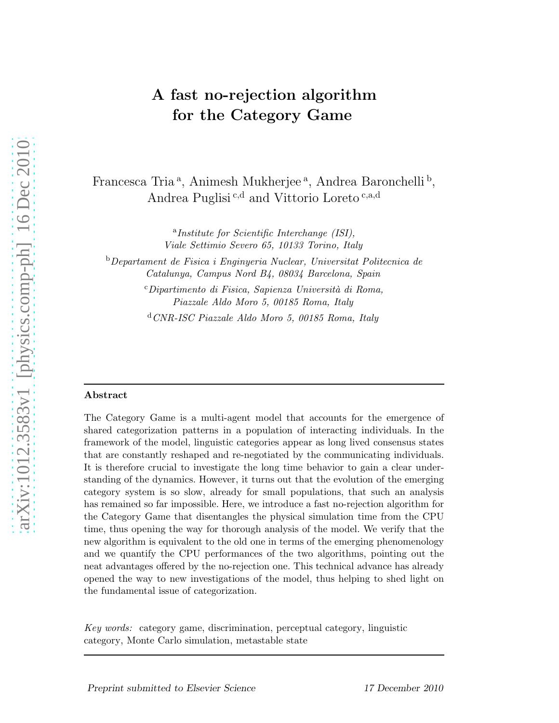### A fast no-rejection algorithm for the Category Game

Francesca Tria<sup>a</sup>, Animesh Mukherjee<sup>a</sup>, Andrea Baronchelli<sup>b</sup>, Andrea Puglisi<sup>c,d</sup> and Vittorio Loreto<sup>c,a,d</sup>

> a *Institute for Scientific Interchange (ISI), Viale Settimio Severo 65, 10133 Torino, Italy*

<sup>b</sup>*Departament de Fisica i Enginyeria Nuclear, Universitat Politecnica de Catalunya, Campus Nord B4, 08034 Barcelona, Spain*

> <sup>c</sup>*Dipartimento di Fisica, Sapienza Universit`a di Roma, Piazzale Aldo Moro 5, 00185 Roma, Italy*

<sup>d</sup>*CNR-ISC Piazzale Aldo Moro 5, 00185 Roma, Italy*

#### Abstract

The Category Game is a multi-agent model that accounts for the emergence of shared categorization patterns in a population of interacting individuals. In the framework of the model, linguistic categories appear as long lived consensus states that are constantly reshaped and re-negotiated by the communicating individuals. It is therefore crucial to investigate the long time behavior to gain a clear understanding of the dynamics. However, it turns out that the evolution of the emerging category system is so slow, already for small populations, that such an analysis has remained so far impossible. Here, we introduce a fast no-rejection algorithm for the Category Game that disentangles the physical simulation time from the CPU time, thus opening the way for thorough analysis of the model. We verify that the new algorithm is equivalent to the old one in terms of the emerging phenomenology and we quantify the CPU performances of the two algorithms, pointing out the neat advantages offered by the no-rejection one. This technical advance has already opened the way to new investigations of the model, thus helping to shed light on the fundamental issue of categorization.

*Key words:* category game, discrimination, perceptual category, linguistic category, Monte Carlo simulation, metastable state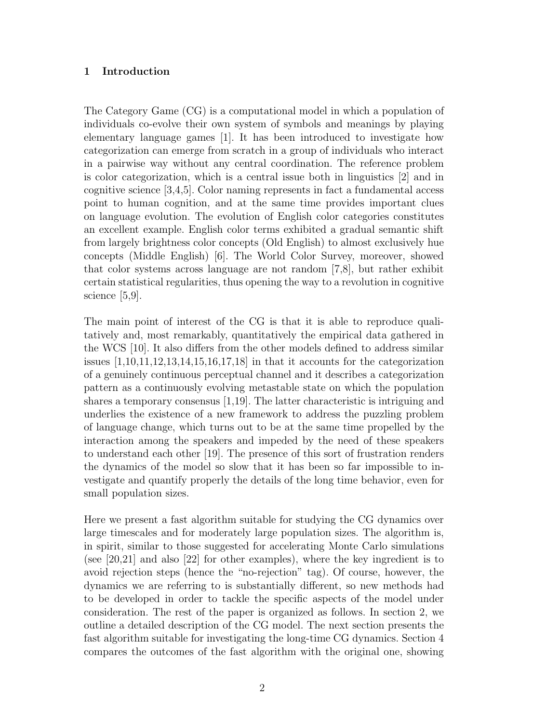#### 1 Introduction

The Category Game (CG) is a computational model in which a population of individuals co-evolve their own system of symbols and meanings by playing elementary language games [1]. It has been introduced to investigate how categorization can emerge from scratch in a group of individuals who interact in a pairwise way without any central coordination. The reference problem is color categorization, which is a central issue both in linguistics [2] and in cognitive science [3,4,5]. Color naming represents in fact a fundamental access point to human cognition, and at the same time provides important clues on language evolution. The evolution of English color categories constitutes an excellent example. English color terms exhibited a gradual semantic shift from largely brightness color concepts (Old English) to almost exclusively hue concepts (Middle English) [6]. The World Color Survey, moreover, showed that color systems across language are not random [7,8], but rather exhibit certain statistical regularities, thus opening the way to a revolution in cognitive science [5,9].

The main point of interest of the CG is that it is able to reproduce qualitatively and, most remarkably, quantitatively the empirical data gathered in the WCS [10]. It also differs from the other models defined to address similar issues  $[1,10,11,12,13,14,15,16,17,18]$  in that it accounts for the categorization of a genuinely continuous perceptual channel and it describes a categorization pattern as a continuously evolving metastable state on which the population shares a temporary consensus [1,19]. The latter characteristic is intriguing and underlies the existence of a new framework to address the puzzling problem of language change, which turns out to be at the same time propelled by the interaction among the speakers and impeded by the need of these speakers to understand each other [19]. The presence of this sort of frustration renders the dynamics of the model so slow that it has been so far impossible to investigate and quantify properly the details of the long time behavior, even for small population sizes.

Here we present a fast algorithm suitable for studying the CG dynamics over large timescales and for moderately large population sizes. The algorithm is, in spirit, similar to those suggested for accelerating Monte Carlo simulations (see [20,21] and also [22] for other examples), where the key ingredient is to avoid rejection steps (hence the "no-rejection" tag). Of course, however, the dynamics we are referring to is substantially different, so new methods had to be developed in order to tackle the specific aspects of the model under consideration. The rest of the paper is organized as follows. In section 2, we outline a detailed description of the CG model. The next section presents the fast algorithm suitable for investigating the long-time CG dynamics. Section 4 compares the outcomes of the fast algorithm with the original one, showing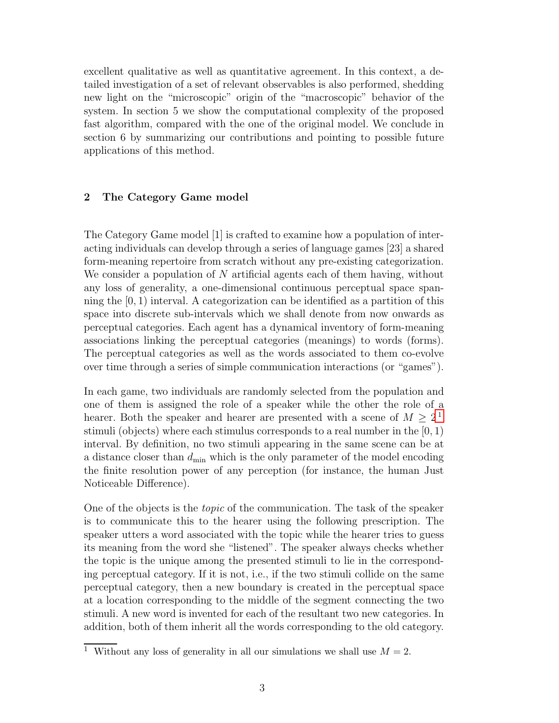excellent qualitative as well as quantitative agreement. In this context, a detailed investigation of a set of relevant observables is also performed, shedding new light on the "microscopic" origin of the "macroscopic" behavior of the system. In section 5 we show the computational complexity of the proposed fast algorithm, compared with the one of the original model. We conclude in section 6 by summarizing our contributions and pointing to possible future applications of this method.

#### 2 The Category Game model

The Category Game model [1] is crafted to examine how a population of interacting individuals can develop through a series of language games [23] a shared form-meaning repertoire from scratch without any pre-existing categorization. We consider a population of N artificial agents each of them having, without any loss of generality, a one-dimensional continuous perceptual space spanning the  $[0, 1)$  interval. A categorization can be identified as a partition of this space into discrete sub-intervals which we shall denote from now onwards as perceptual categories. Each agent has a dynamical inventory of form-meaning associations linking the perceptual categories (meanings) to words (forms). The perceptual categories as well as the words associated to them co-evolve over time through a series of simple communication interactions (or "games").

In each game, two individuals are randomly selected from the population and one of them is assigned the role of a speaker while the other the role of a hearer. Both the speaker and hearer are presented with a scene of  $M \geq 2^1$  $M \geq 2^1$ stimuli (objects) where each stimulus corresponds to a real number in the  $[0, 1)$ interval. By definition, no two stimuli appearing in the same scene can be at a distance closer than  $d_{\min}$  which is the only parameter of the model encoding the finite resolution power of any perception (for instance, the human Just Noticeable Difference).

One of the objects is the topic of the communication. The task of the speaker is to communicate this to the hearer using the following prescription. The speaker utters a word associated with the topic while the hearer tries to guess its meaning from the word she "listened". The speaker always checks whether the topic is the unique among the presented stimuli to lie in the corresponding perceptual category. If it is not, i.e., if the two stimuli collide on the same perceptual category, then a new boundary is created in the perceptual space at a location corresponding to the middle of the segment connecting the two stimuli. A new word is invented for each of the resultant two new categories. In addition, both of them inherit all the words corresponding to the old category.

<span id="page-3-0"></span><sup>&</sup>lt;sup>1</sup> Without any loss of generality in all our simulations we shall use  $M = 2$ .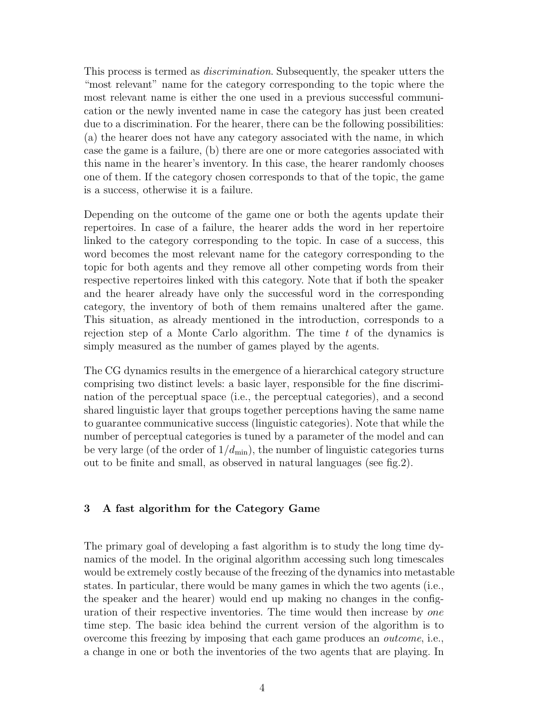This process is termed as *discrimination*. Subsequently, the speaker utters the "most relevant" name for the category corresponding to the topic where the most relevant name is either the one used in a previous successful communication or the newly invented name in case the category has just been created due to a discrimination. For the hearer, there can be the following possibilities: (a) the hearer does not have any category associated with the name, in which case the game is a failure, (b) there are one or more categories associated with this name in the hearer's inventory. In this case, the hearer randomly chooses one of them. If the category chosen corresponds to that of the topic, the game is a success, otherwise it is a failure.

Depending on the outcome of the game one or both the agents update their repertoires. In case of a failure, the hearer adds the word in her repertoire linked to the category corresponding to the topic. In case of a success, this word becomes the most relevant name for the category corresponding to the topic for both agents and they remove all other competing words from their respective repertoires linked with this category. Note that if both the speaker and the hearer already have only the successful word in the corresponding category, the inventory of both of them remains unaltered after the game. This situation, as already mentioned in the introduction, corresponds to a rejection step of a Monte Carlo algorithm. The time  $t$  of the dynamics is simply measured as the number of games played by the agents.

The CG dynamics results in the emergence of a hierarchical category structure comprising two distinct levels: a basic layer, responsible for the fine discrimination of the perceptual space (i.e., the perceptual categories), and a second shared linguistic layer that groups together perceptions having the same name to guarantee communicative success (linguistic categories). Note that while the number of perceptual categories is tuned by a parameter of the model and can be very large (of the order of  $1/d_{\text{min}}$ ), the number of linguistic categories turns out to be finite and small, as observed in natural languages (see fig.2).

#### 3 A fast algorithm for the Category Game

The primary goal of developing a fast algorithm is to study the long time dynamics of the model. In the original algorithm accessing such long timescales would be extremely costly because of the freezing of the dynamics into metastable states. In particular, there would be many games in which the two agents (i.e., the speaker and the hearer) would end up making no changes in the configuration of their respective inventories. The time would then increase by one time step. The basic idea behind the current version of the algorithm is to overcome this freezing by imposing that each game produces an outcome, i.e., a change in one or both the inventories of the two agents that are playing. In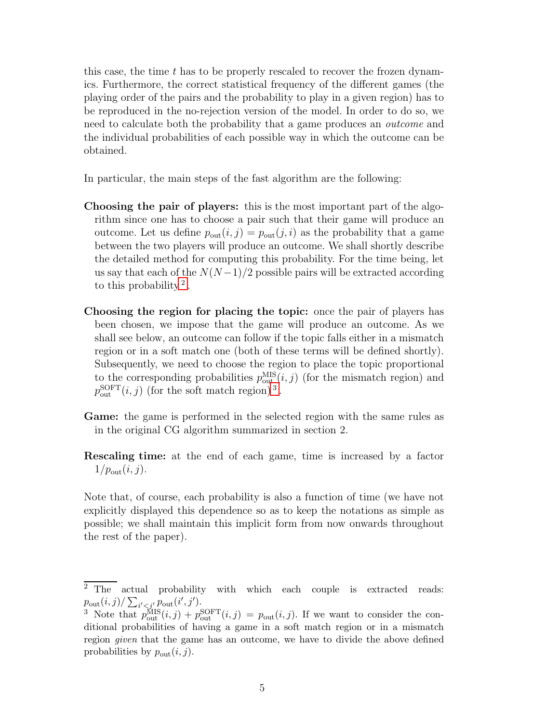this case, the time t has to be properly rescaled to recover the frozen dynamics. Furthermore, the correct statistical frequency of the different games (the playing order of the pairs and the probability to play in a given region) has to be reproduced in the no-rejection version of the model. In order to do so, we need to calculate both the probability that a game produces an *outcome* and the individual probabilities of each possible way in which the outcome can be obtained.

In particular, the main steps of the fast algorithm are the following:

- Choosing the pair of players: this is the most important part of the algorithm since one has to choose a pair such that their game will produce an outcome. Let us define  $p_{\text{out}}(i, j) = p_{\text{out}}(j, i)$  as the probability that a game between the two players will produce an outcome. We shall shortly describe the detailed method for computing this probability. For the time being, let us say that each of the  $N(N-1)/2$  possible pairs will be extracted according to this probability<sup>[2](#page-5-0)</sup>.
- Choosing the region for placing the topic: once the pair of players has been chosen, we impose that the game will produce an outcome. As we shall see below, an outcome can follow if the topic falls either in a mismatch region or in a soft match one (both of these terms will be defined shortly). Subsequently, we need to choose the region to place the topic proportional to the corresponding probabilities  $p_{\text{out}}^{\text{MIS}}(i, j)$  (for the mismatch region) and  $p_{\text{out}}^{\text{SOFT}}(i,j)$  (for the soft match region)<sup>[3](#page-5-1)</sup>.
- Game: the game is performed in the selected region with the same rules as in the original CG algorithm summarized in section 2.
- Rescaling time: at the end of each game, time is increased by a factor  $1/p_{\text{out}}(i,j).$

Note that, of course, each probability is also a function of time (we have not explicitly displayed this dependence so as to keep the notations as simple as possible; we shall maintain this implicit form from now onwards throughout the rest of the paper).

<span id="page-5-0"></span><sup>&</sup>lt;sup>2</sup> The actual probability with which each couple is extracted reads:  $p_{\text{out}}(i, j) / \sum_{i' < j'} p_{\text{out}}(i', j').$ 

<span id="page-5-1"></span><sup>&</sup>lt;sup>3</sup> Note that  $p_{\text{out}}^{\text{MIS}}(i,j) + p_{\text{out}}^{\text{SOFF}}(i,j) = p_{\text{out}}(i,j)$ . If we want to consider the conditional probabilities of having a game in a soft match region or in a mismatch region *given* that the game has an outcome, we have to divide the above defined probabilities by  $p_{\text{out}}(i, j)$ .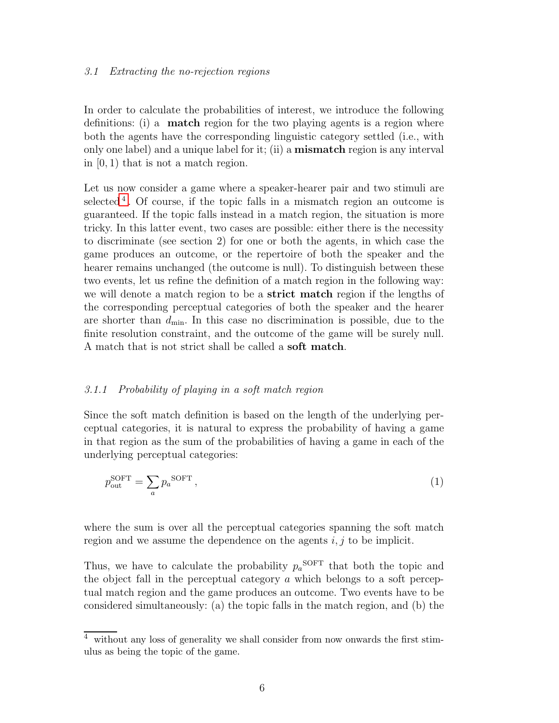#### 3.1 Extracting the no-rejection regions

In order to calculate the probabilities of interest, we introduce the following definitions: (i) a match region for the two playing agents is a region where both the agents have the corresponding linguistic category settled (i.e., with only one label) and a unique label for it; (ii) a mismatch region is any interval in  $(0, 1)$  that is not a match region.

Let us now consider a game where a speaker-hearer pair and two stimuli are selected<sup>[4](#page-6-0)</sup>. Of course, if the topic falls in a mismatch region an outcome is guaranteed. If the topic falls instead in a match region, the situation is more tricky. In this latter event, two cases are possible: either there is the necessity to discriminate (see section 2) for one or both the agents, in which case the game produces an outcome, or the repertoire of both the speaker and the hearer remains unchanged (the outcome is null). To distinguish between these two events, let us refine the definition of a match region in the following way: we will denote a match region to be a **strict match** region if the lengths of the corresponding perceptual categories of both the speaker and the hearer are shorter than  $d_{\min}$ . In this case no discrimination is possible, due to the finite resolution constraint, and the outcome of the game will be surely null. A match that is not strict shall be called a soft match.

#### 3.1.1 Probability of playing in a soft match region

Since the soft match definition is based on the length of the underlying perceptual categories, it is natural to express the probability of having a game in that region as the sum of the probabilities of having a game in each of the underlying perceptual categories:

$$
p_{\text{out}}^{\text{SOFT}} = \sum_{a} p_a^{\text{SOFT}}, \tag{1}
$$

where the sum is over all the perceptual categories spanning the soft match region and we assume the dependence on the agents  $i, j$  to be implicit.

Thus, we have to calculate the probability  $p_a^{\text{SOFT}}$  that both the topic and the object fall in the perceptual category  $\alpha$  which belongs to a soft perceptual match region and the game produces an outcome. Two events have to be considered simultaneously: (a) the topic falls in the match region, and (b) the

<span id="page-6-0"></span><sup>4</sup> without any loss of generality we shall consider from now onwards the first stimulus as being the topic of the game.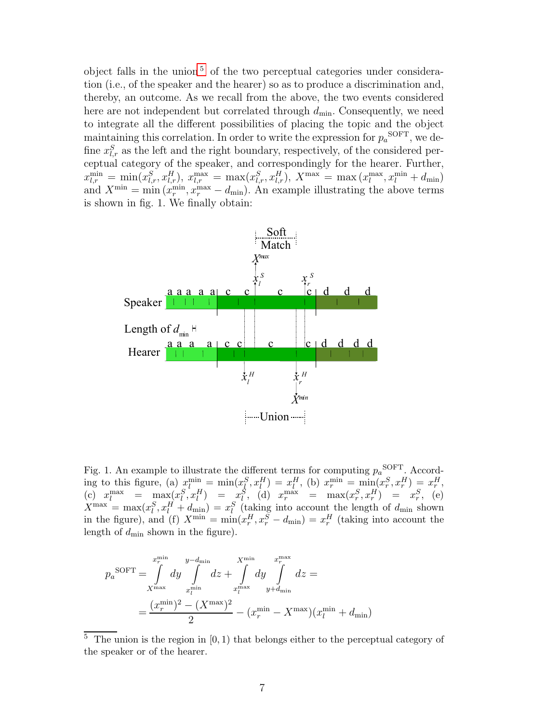object falls in the union<sup>[5](#page-7-0)</sup> of the two perceptual categories under consideration (i.e., of the speaker and the hearer) so as to produce a discrimination and, thereby, an outcome. As we recall from the above, the two events considered here are not independent but correlated through  $d_{\min}$ . Consequently, we need to integrate all the different possibilities of placing the topic and the object maintaining this correlation. In order to write the expression for  $p_a^{\text{SOFT}}$ , we define  $x_{l,r}^S$  as the left and the right boundary, respectively, of the considered perceptual category of the speaker, and correspondingly for the hearer. Further,  $x_{l,r}^{\min} = \min(x_{l,r}^{S}, x_{l,r}^{H}), x_{l,r}^{\max} = \max(x_{l,r}^{S}, x_{l,r}^{H}), X^{\max} = \max(x_{l}^{\max})$  $\lim_{l}$ ,  $x_l^{\min} + d_{\min}$ ) and  $X^{\min} = \min(x_r^{\min})$  $r_{r}^{\min}, x_{r}^{\max} - d_{\min}$ ). An example illustrating the above terms is shown in fig. 1. We finally obtain:



Fig. 1. An example to illustrate the different terms for computing  $p_a^{\text{SOFT}}$ . According to this figure, (a)  $x_l^{\min} = \min(x_l^S, x_l^H) = x_l^H$ , (b)  $x_r^{\min} = \min(x_r^S, x_r^H) = x_r^H$ , (c)  $x_l^{\max} = \max_{r \in \mathcal{R}_l^S} (x_l^S, x_l^H) = x_l^S$ , (d)  $x_r^{\max} = \max(x_r^S, x_r^H) = x_r^S$ , (e)  $X^{\max} = \max(x_i^S, x_i^H + d_{\min}) = x_i^S$  (taking into account the length of  $d_{\min}$  shown in the figure), and (f)  $X^{\min} = \min(x_r^H, x_r^S - d_{\min}) = x_r^H$  (taking into account the length of  $d_{\min}$  shown in the figure).

$$
p_a^{\text{SOFT}} = \int_{X^{\text{max}}}^{x_r^{\text{min}}} dy \int_{x_l^{\text{min}}}^{y-d_{\text{min}}} dz + \int_{x_l^{\text{max}}}^{X^{\text{min}}} dy \int_{y+d_{\text{min}}}^{x_r^{\text{max}}} dz =
$$
  
= 
$$
\frac{(x_r^{\text{min}})^2 - (X^{\text{max}})^2}{2} - (x_r^{\text{min}} - X^{\text{max}})(x_l^{\text{min}} + d_{\text{min}})
$$

<span id="page-7-0"></span> $\overline{5}$  The union is the region in [0, 1] that belongs either to the perceptual category of the speaker or of the hearer.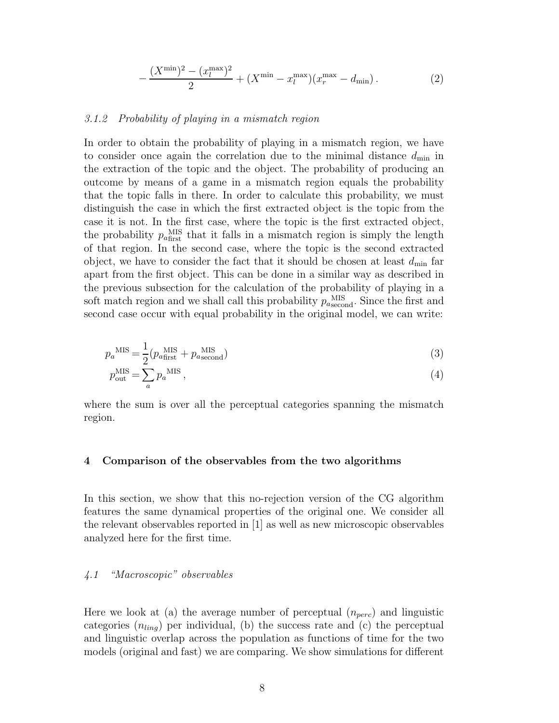$$
-\frac{(X^{\min})^2 - (x_l^{\max})^2}{2} + (X^{\min} - x_l^{\max})(x_r^{\max} - d_{\min}).
$$
\n(2)

#### 3.1.2 Probability of playing in a mismatch region

In order to obtain the probability of playing in a mismatch region, we have to consider once again the correlation due to the minimal distance  $d_{\min}$  in the extraction of the topic and the object. The probability of producing an outcome by means of a game in a mismatch region equals the probability that the topic falls in there. In order to calculate this probability, we must distinguish the case in which the first extracted object is the topic from the case it is not. In the first case, where the topic is the first extracted object, the probability  $p_{a\text{first}}^{\text{MIS}}$  that it falls in a mismatch region is simply the length of that region. In the second case, where the topic is the second extracted object, we have to consider the fact that it should be chosen at least  $d_{\min}$  far apart from the first object. This can be done in a similar way as described in the previous subsection for the calculation of the probability of playing in a soft match region and we shall call this probability  $p_{a\text{second}}^{\text{MIS}}$ . Since the first and second case occur with equal probability in the original model, we can write:

$$
p_a^{\text{MIS}} = \frac{1}{2} (p_{a\text{first}}^{\text{MIS}} + p_{a\text{second}}^{\text{MIS}})
$$
 (3)

$$
p_{\text{out}}^{\text{MIS}} = \sum_{a} p_a^{\text{MIS}}, \tag{4}
$$

where the sum is over all the perceptual categories spanning the mismatch region.

#### 4 Comparison of the observables from the two algorithms

In this section, we show that this no-rejection version of the CG algorithm features the same dynamical properties of the original one. We consider all the relevant observables reported in [1] as well as new microscopic observables analyzed here for the first time.

#### 4.1 "Macroscopic" observables

Here we look at (a) the average number of perceptual  $(n_{perc})$  and linguistic categories  $(n_{ling})$  per individual, (b) the success rate and (c) the perceptual and linguistic overlap across the population as functions of time for the two models (original and fast) we are comparing. We show simulations for different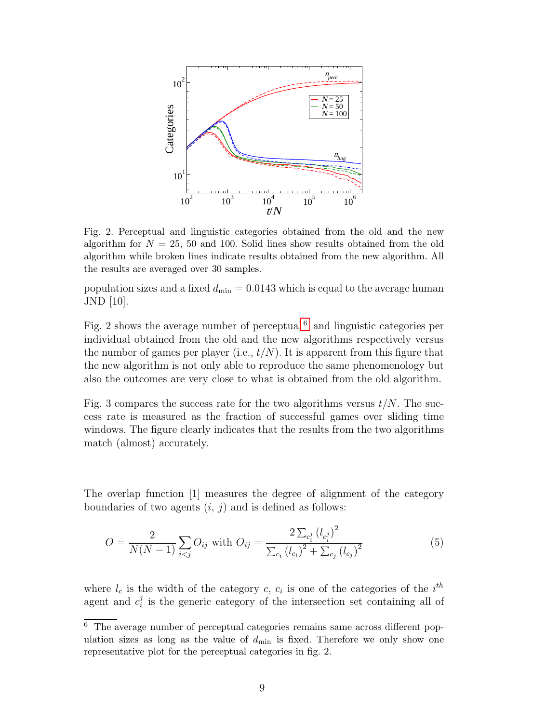

Fig. 2. Perceptual and linguistic categories obtained from the old and the new algorithm for  $N = 25, 50$  and 100. Solid lines show results obtained from the old algorithm while broken lines indicate results obtained from the new algorithm. All the results are averaged over 30 samples.

population sizes and a fixed  $d_{\min} = 0.0143$  which is equal to the average human JND [10].

Fig. 2 shows the average number of perceptual<sup> $6$ </sup> and linguistic categories per individual obtained from the old and the new algorithms respectively versus the number of games per player (i.e.,  $t/N$ ). It is apparent from this figure that the new algorithm is not only able to reproduce the same phenomenology but also the outcomes are very close to what is obtained from the old algorithm.

Fig. 3 compares the success rate for the two algorithms versus  $t/N$ . The success rate is measured as the fraction of successful games over sliding time windows. The figure clearly indicates that the results from the two algorithms match (almost) accurately.

The overlap function [1] measures the degree of alignment of the category boundaries of two agents  $(i, j)$  and is defined as follows:

$$
O = \frac{2}{N(N-1)} \sum_{i < j} O_{ij} \text{ with } O_{ij} = \frac{2 \sum_{c_i^j} (l_{c_i^j})^2}{\sum_{c_i} (l_{c_i})^2 + \sum_{c_j} (l_{c_j})^2} \tag{5}
$$

where  $l_c$  is the width of the category c,  $c_i$  is one of the categories of the  $i^{th}$ agent and  $c_i^j$  $i<sub>i</sub>$  is the generic category of the intersection set containing all of

<span id="page-9-0"></span> $6$  The average number of perceptual categories remains same across different population sizes as long as the value of  $d_{\min}$  is fixed. Therefore we only show one representative plot for the perceptual categories in fig. 2.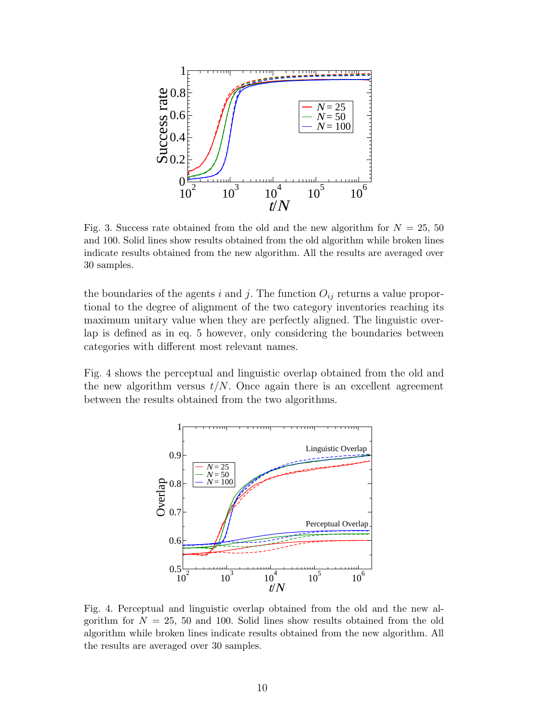

Fig. 3. Success rate obtained from the old and the new algorithm for  $N = 25, 50$ and 100. Solid lines show results obtained from the old algorithm while broken lines indicate results obtained from the new algorithm. All the results are averaged over 30 samples.

the boundaries of the agents i and j. The function  $O_{ij}$  returns a value proportional to the degree of alignment of the two category inventories reaching its maximum unitary value when they are perfectly aligned. The linguistic overlap is defined as in eq. 5 however, only considering the boundaries between categories with different most relevant names.

Fig. 4 shows the perceptual and linguistic overlap obtained from the old and the new algorithm versus  $t/N$ . Once again there is an excellent agreement between the results obtained from the two algorithms.



Fig. 4. Perceptual and linguistic overlap obtained from the old and the new algorithm for  $N = 25$ , 50 and 100. Solid lines show results obtained from the old algorithm while broken lines indicate results obtained from the new algorithm. All the results are averaged over 30 samples.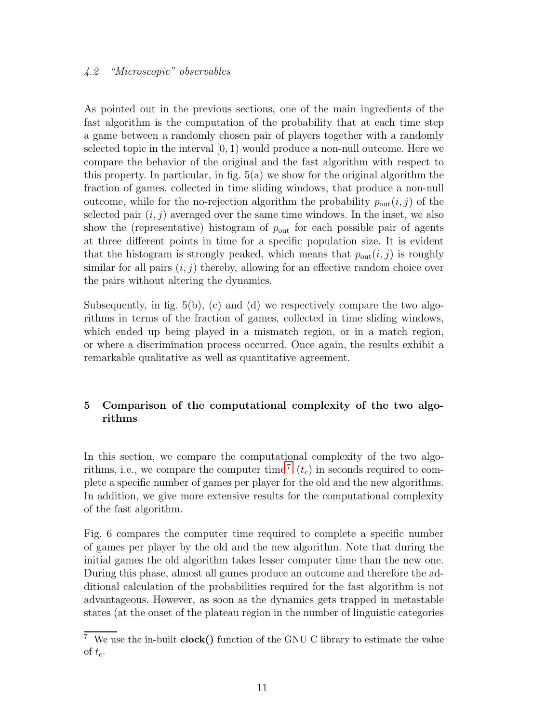#### 4.2 "Microscopic" observables

As pointed out in the previous sections, one of the main ingredients of the fast algorithm is the computation of the probability that at each time step a game between a randomly chosen pair of players together with a randomly selected topic in the interval  $(0, 1)$  would produce a non-null outcome. Here we compare the behavior of the original and the fast algorithm with respect to this property. In particular, in fig. 5(a) we show for the original algorithm the fraction of games, collected in time sliding windows, that produce a non-null outcome, while for the no-rejection algorithm the probability  $p_{\text{out}}(i, j)$  of the selected pair  $(i, j)$  averaged over the same time windows. In the inset, we also show the (representative) histogram of  $p_{\text{out}}$  for each possible pair of agents at three different points in time for a specific population size. It is evident that the histogram is strongly peaked, which means that  $p_{\text{out}}(i, j)$  is roughly similar for all pairs  $(i, j)$  thereby, allowing for an effective random choice over the pairs without altering the dynamics.

Subsequently, in fig.  $5(b)$ , (c) and (d) we respectively compare the two algorithms in terms of the fraction of games, collected in time sliding windows, which ended up being played in a mismatch region, or in a match region, or where a discrimination process occurred. Once again, the results exhibit a remarkable qualitative as well as quantitative agreement.

#### 5 Comparison of the computational complexity of the two algorithms

In this section, we compare the computational complexity of the two algo-rithms, i.e., we compare the computer time<sup>[7](#page-11-0)</sup>  $(t_c)$  in seconds required to complete a specific number of games per player for the old and the new algorithms. In addition, we give more extensive results for the computational complexity of the fast algorithm.

Fig. 6 compares the computer time required to complete a specific number of games per player by the old and the new algorithm. Note that during the initial games the old algorithm takes lesser computer time than the new one. During this phase, almost all games produce an outcome and therefore the additional calculation of the probabilities required for the fast algorithm is not advantageous. However, as soon as the dynamics gets trapped in metastable states (at the onset of the plateau region in the number of linguistic categories

<span id="page-11-0"></span> $\frac{7}{7}$  We use the in-built **clock()** function of the GNU C library to estimate the value of  $t_c$ .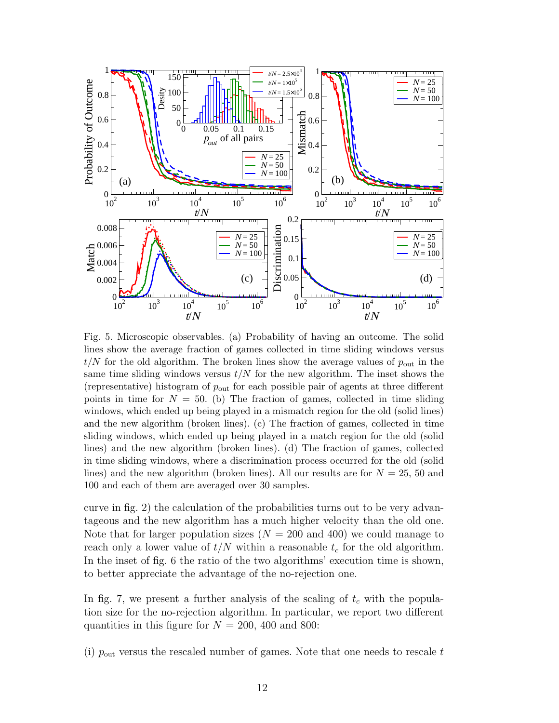

Fig. 5. Microscopic observables. (a) Probability of having an outcome. The solid lines show the average fraction of games collected in time sliding windows versus  $t/N$  for the old algorithm. The broken lines show the average values of  $p_{\text{out}}$  in the same time sliding windows versus  $t/N$  for the new algorithm. The inset shows the (representative) histogram of  $p_{\text{out}}$  for each possible pair of agents at three different points in time for  $N = 50$ . (b) The fraction of games, collected in time sliding windows, which ended up being played in a mismatch region for the old (solid lines) and the new algorithm (broken lines). (c) The fraction of games, collected in time sliding windows, which ended up being played in a match region for the old (solid lines) and the new algorithm (broken lines). (d) The fraction of games, collected in time sliding windows, where a discrimination process occurred for the old (solid lines) and the new algorithm (broken lines). All our results are for  $N = 25$ , 50 and 100 and each of them are averaged over 30 samples.

curve in fig. 2) the calculation of the probabilities turns out to be very advantageous and the new algorithm has a much higher velocity than the old one. Note that for larger population sizes  $(N = 200 \text{ and } 400)$  we could manage to reach only a lower value of  $t/N$  within a reasonable  $t_c$  for the old algorithm. In the inset of fig. 6 the ratio of the two algorithms' execution time is shown, to better appreciate the advantage of the no-rejection one.

In fig. 7, we present a further analysis of the scaling of  $t_c$  with the population size for the no-rejection algorithm. In particular, we report two different quantities in this figure for  $N = 200, 400$  and 800:

(i)  $p_{\text{out}}$  versus the rescaled number of games. Note that one needs to rescale t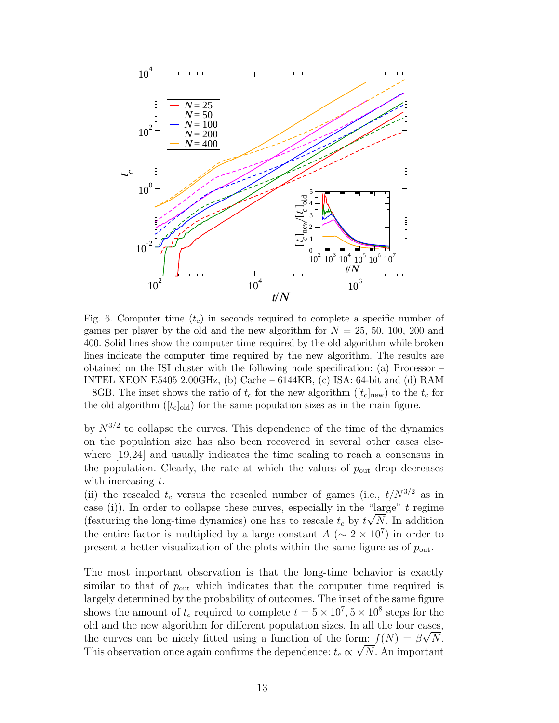

Fig. 6. Computer time  $(t_c)$  in seconds required to complete a specific number of games per player by the old and the new algorithm for  $N = 25, 50, 100, 200$  and 400. Solid lines show the computer time required by the old algorithm while broken lines indicate the computer time required by the new algorithm. The results are obtained on the ISI cluster with the following node specification: (a) Processor – INTEL XEON E5405 2.00GHz, (b) Cache – 6144KB, (c) ISA: 64-bit and (d) RAM – 8GB. The inset shows the ratio of  $t_c$  for the new algorithm ( $[t_c]_{\text{new}}$ ) to the  $t_c$  for the old algorithm  $([t_c]_{old})$  for the same population sizes as in the main figure.

by  $N^{3/2}$  to collapse the curves. This dependence of the time of the dynamics on the population size has also been recovered in several other cases elsewhere [19,24] and usually indicates the time scaling to reach a consensus in the population. Clearly, the rate at which the values of  $p_{\text{out}}$  drop decreases with increasing t.

(ii) the rescaled  $t_c$  versus the rescaled number of games (i.e.,  $t/N^{3/2}$  as in case (i)). In order to collapse these curves, especially in the "large"  $t$  regime (featuring the long-time dynamics) one has to rescale  $t_c$  by  $t\sqrt{N}$ . In addition the entire factor is multiplied by a large constant  $A (\sim 2 \times 10^7)$  in order to present a better visualization of the plots within the same figure as of  $p_{\text{out}}$ .

The most important observation is that the long-time behavior is exactly similar to that of  $p_{\text{out}}$  which indicates that the computer time required is largely determined by the probability of outcomes. The inset of the same figure shows the amount of  $t_c$  required to complete  $t = 5 \times 10^7$ ,  $5 \times 10^8$  steps for the old and the new algorithm for different population sizes. In all the four cases, the curves can be nicely fitted using a function of the form:  $f(N) = \beta \sqrt{N}$ . This observation once again confirms the dependence:  $t_c \propto \sqrt{N}$ . An important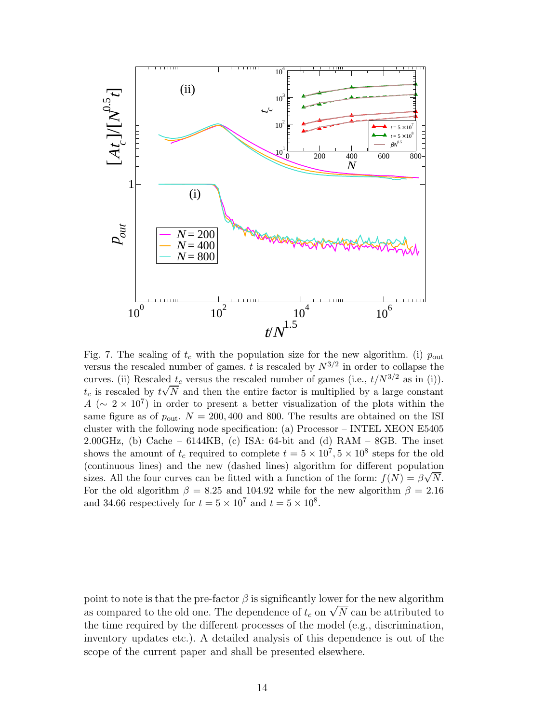

Fig. 7. The scaling of  $t_c$  with the population size for the new algorithm. (i)  $p_{\text{out}}$ versus the rescaled number of games. t is rescaled by  $N^{3/2}$  in order to collapse the curves. (ii) Rescaled  $t_c$  versus the rescaled number of games (i.e.,  $t/N^{3/2}$  as in (i)).  $t_c$  is rescaled by  $t\sqrt{N}$  and then the entire factor is multiplied by a large constant  $A (\sim 2 \times 10^7)$  in order to present a better visualization of the plots within the same figure as of  $p_{\text{out}}$ .  $N = 200, 400$  and 800. The results are obtained on the ISI cluster with the following node specification: (a) Processor – INTEL XEON E5405 2.00GHz, (b) Cache –  $6144KB$ , (c) ISA:  $64$ -bit and (d) RAM –  $8GB$ . The inset shows the amount of  $t_c$  required to complete  $t = 5 \times 10^7$ ,  $5 \times 10^8$  steps for the old (continuous lines) and the new (dashed lines) algorithm for different population sizes. All the four curves can be fitted with a function of the form:  $f(N) = \beta \sqrt{N}$ . For the old algorithm  $\beta = 8.25$  and 104.92 while for the new algorithm  $\beta = 2.16$ and 34.66 respectively for  $t = 5 \times 10^7$  and  $t = 5 \times 10^8$ .

point to note is that the pre-factor  $\beta$  is significantly lower for the new algorithm as compared to the old one. The dependence of  $t_c$  on  $\sqrt{N}$  can be attributed to the time required by the different processes of the model (e.g., discrimination, inventory updates etc.). A detailed analysis of this dependence is out of the scope of the current paper and shall be presented elsewhere.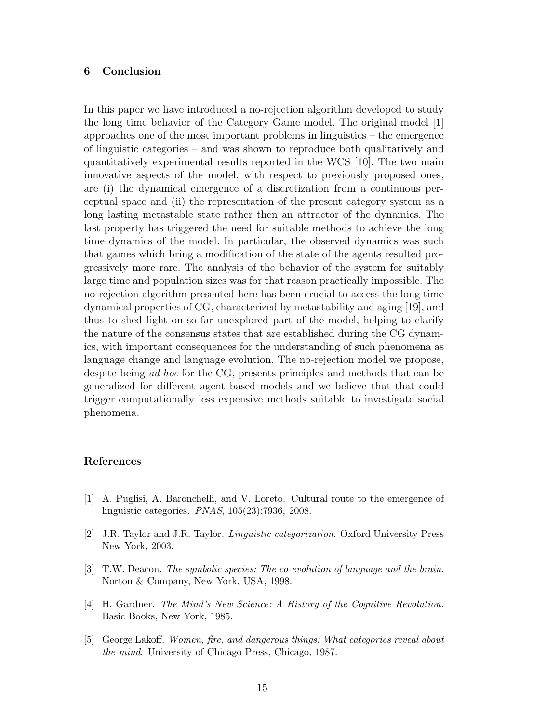#### 6 Conclusion

In this paper we have introduced a no-rejection algorithm developed to study the long time behavior of the Category Game model. The original model [1] approaches one of the most important problems in linguistics – the emergence of linguistic categories – and was shown to reproduce both qualitatively and quantitatively experimental results reported in the WCS [10]. The two main innovative aspects of the model, with respect to previously proposed ones, are (i) the dynamical emergence of a discretization from a continuous perceptual space and (ii) the representation of the present category system as a long lasting metastable state rather then an attractor of the dynamics. The last property has triggered the need for suitable methods to achieve the long time dynamics of the model. In particular, the observed dynamics was such that games which bring a modification of the state of the agents resulted progressively more rare. The analysis of the behavior of the system for suitably large time and population sizes was for that reason practically impossible. The no-rejection algorithm presented here has been crucial to access the long time dynamical properties of CG, characterized by metastability and aging [19], and thus to shed light on so far unexplored part of the model, helping to clarify the nature of the consensus states that are established during the CG dynamics, with important consequences for the understanding of such phenomena as language change and language evolution. The no-rejection model we propose, despite being *ad hoc* for the CG, presents principles and methods that can be generalized for different agent based models and we believe that that could trigger computationally less expensive methods suitable to investigate social phenomena.

#### References

- [1] A. Puglisi, A. Baronchelli, and V. Loreto. Cultural route to the emergence of linguistic categories. *PNAS*, 105(23):7936, 2008.
- [2] J.R. Taylor and J.R. Taylor. *Linguistic categorization*. Oxford University Press New York, 2003.
- [3] T.W. Deacon. *The symbolic species: The co-evolution of language and the brain*. Norton & Company, New York, USA, 1998.
- [4] H. Gardner. *The Mind's New Science: A History of the Cognitive Revolution*. Basic Books, New York, 1985.
- [5] George Lakoff. *Women, fire, and dangerous things: What categories reveal about the mind*. University of Chicago Press, Chicago, 1987.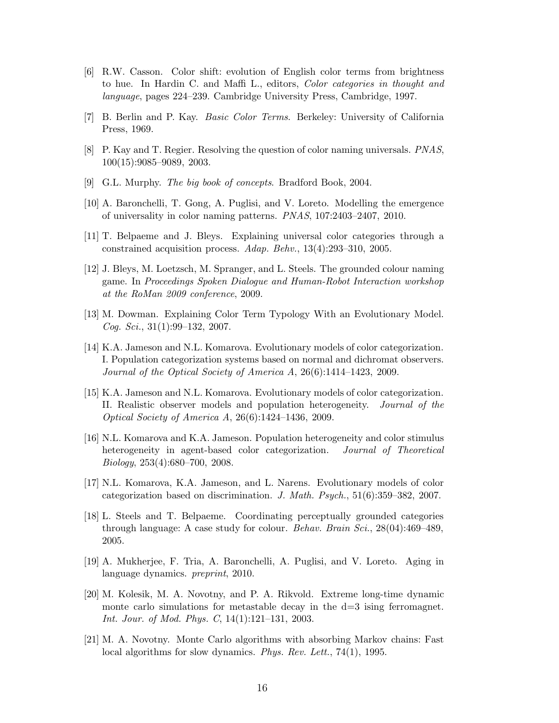- [6] R.W. Casson. Color shift: evolution of English color terms from brightness to hue. In Hardin C. and Maffi L., editors, *Color categories in thought and language*, pages 224–239. Cambridge University Press, Cambridge, 1997.
- [7] B. Berlin and P. Kay. *Basic Color Terms*. Berkeley: University of California Press, 1969.
- [8] P. Kay and T. Regier. Resolving the question of color naming universals. *PNAS*, 100(15):9085–9089, 2003.
- [9] G.L. Murphy. *The big book of concepts*. Bradford Book, 2004.
- [10] A. Baronchelli, T. Gong, A. Puglisi, and V. Loreto. Modelling the emergence of universality in color naming patterns. *PNAS*, 107:2403–2407, 2010.
- [11] T. Belpaeme and J. Bleys. Explaining universal color categories through a constrained acquisition process. *Adap. Behv.*, 13(4):293–310, 2005.
- [12] J. Bleys, M. Loetzsch, M. Spranger, and L. Steels. The grounded colour naming game. In *Proceedings Spoken Dialogue and Human-Robot Interaction workshop at the RoMan 2009 conference*, 2009.
- [13] M. Dowman. Explaining Color Term Typology With an Evolutionary Model. *Cog. Sci.*, 31(1):99–132, 2007.
- [14] K.A. Jameson and N.L. Komarova. Evolutionary models of color categorization. I. Population categorization systems based on normal and dichromat observers. *Journal of the Optical Society of America A*, 26(6):1414–1423, 2009.
- [15] K.A. Jameson and N.L. Komarova. Evolutionary models of color categorization. II. Realistic observer models and population heterogeneity. *Journal of the Optical Society of America A*, 26(6):1424–1436, 2009.
- [16] N.L. Komarova and K.A. Jameson. Population heterogeneity and color stimulus heterogeneity in agent-based color categorization. *Journal of Theoretical Biology*, 253(4):680–700, 2008.
- [17] N.L. Komarova, K.A. Jameson, and L. Narens. Evolutionary models of color categorization based on discrimination. *J. Math. Psych.*, 51(6):359–382, 2007.
- [18] L. Steels and T. Belpaeme. Coordinating perceptually grounded categories through language: A case study for colour. *Behav. Brain Sci.*, 28(04):469–489, 2005.
- [19] A. Mukherjee, F. Tria, A. Baronchelli, A. Puglisi, and V. Loreto. Aging in language dynamics. *preprint*, 2010.
- [20] M. Kolesik, M. A. Novotny, and P. A. Rikvold. Extreme long-time dynamic monte carlo simulations for metastable decay in the  $d=3$  ising ferromagnet. *Int. Jour. of Mod. Phys. C*, 14(1):121–131, 2003.
- [21] M. A. Novotny. Monte Carlo algorithms with absorbing Markov chains: Fast local algorithms for slow dynamics. *Phys. Rev. Lett.*, 74(1), 1995.